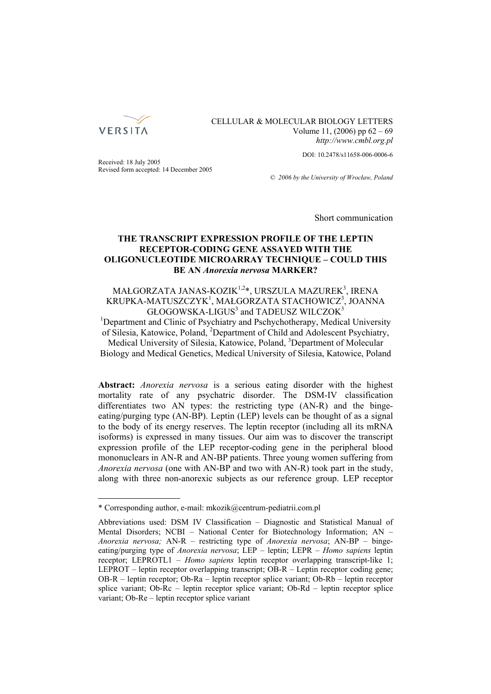

### CELLULAR & MOLECULAR BIOLOGY LETTERS Volume 11, (2006) pp  $62 - 69$ *http://www.cmbl.org.pl*

DOI: 10.2478/s11658-006-0006-6

Received: 18 July 2005 Revised form accepted: 14 December 2005

*© 2006 by the University of Wrocław, Poland*

Short communication

# **THE TRANSCRIPT EXPRESSION PROFILE OF THE LEPTIN RECEPTOR-CODING GENE ASSAYED WITH THE OLIGONUCLEOTIDE MICROARRAY TECHNIQUE – COULD THIS BE AN** *Anorexia nervosa* **MARKER?**

MAŁGORZATA JANAS-KOZIK<sup>1,2</sup>\*, URSZULA MAZUREK<sup>3</sup>, IRENA KRUPKA-MATUSZCZYK<sup>1</sup>, MAŁGORZATA STACHOWICZ<sup>3</sup>, JOANNA  $GLOGOWSKA-LIGUS<sup>3</sup>$  and TADEUSZ WILCZOK $^3$ 

<sup>1</sup>Department and Clinic of Psychiatry and Pschychotherapy, Medical University of Silesia, Katowice, Poland, <sup>2</sup>Department of Child and Adolescent Psychiatry, Medical University of Silesia, Katowice, Poland, <sup>3</sup>Department of Molecular

Biology and Medical Genetics, Medical University of Silesia, Katowice, Poland

**Abstract:** *Anorexia nervosa* is a serious eating disorder with the highest mortality rate of any psychatric disorder. The DSM-IV classification differentiates two AN types: the restricting type (AN-R) and the bingeeating/purging type (AN-BP). Leptin (LEP) levels can be thought of as a signal to the body of its energy reserves. The leptin receptor (including all its mRNA isoforms) is expressed in many tissues. Our aim was to discover the transcript expression profile of the LEP receptor-coding gene in the peripheral blood mononuclears in AN-R and AN-BP patients. Three young women suffering from *Anorexia nervosa* (one with AN-BP and two with AN-R) took part in the study, along with three non-anorexic subjects as our reference group. LEP receptor

<sup>\*</sup> Corresponding author, e-mail: mkozik@centrum-pediatrii.com.pl

Abbreviations used: DSM IV Classification – Diagnostic and Statistical Manual of Mental Disorders; NCBI – National Center for Biotechnology Information; AN – *Anorexia nervosa;* AN-R – restricting type of *Anorexia nervosa*; AN-BP – bingeeating/purging type of *Anorexia nervosa*; LEP – leptin; LEPR – *Homo sapiens* leptin receptor; LEPROTL1 – *Homo sapiens* leptin receptor overlapping transcript-like 1; LEPROT – leptin receptor overlapping transcript; OB-R – Leptin receptor coding gene; OB-R – leptin receptor; Ob-Ra – leptin receptor splice variant; Ob-Rb – leptin receptor splice variant; Ob-Rc – leptin receptor splice variant; Ob-Rd – leptin receptor splice variant; Ob-Re – leptin receptor splice variant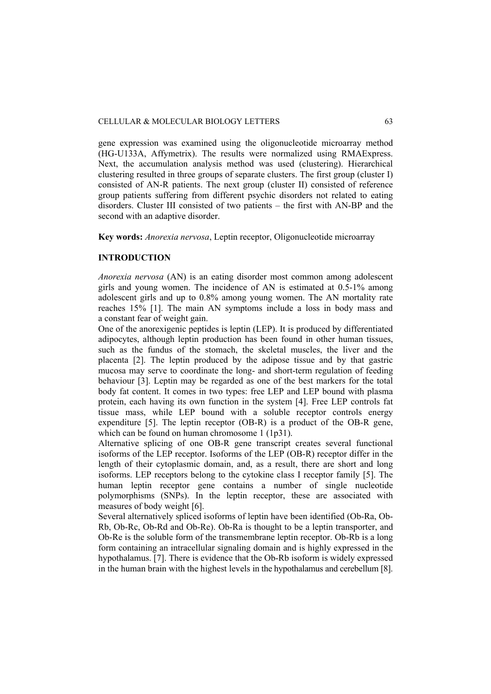gene expression was examined using the oligonucleotide microarray method (HG-U133A, Affymetrix). The results were normalized using RMAExpress. Next, the accumulation analysis method was used (clustering). Hierarchical clustering resulted in three groups of separate clusters. The first group (cluster I) consisted of AN-R patients. The next group (cluster II) consisted of reference group patients suffering from different psychic disorders not related to eating disorders. Cluster III consisted of two patients – the first with AN-BP and the second with an adaptive disorder.

**Key words:** *Anorexia nervosa*, Leptin receptor, Oligonucleotide microarray

## **INTRODUCTION**

*Anorexia nervosa* (AN) is an eating disorder most common among adolescent girls and young women. The incidence of AN is estimated at 0.5-1% among adolescent girls and up to 0.8% among young women. The AN mortality rate reaches 15% [1]. The main AN symptoms include a loss in body mass and a constant fear of weight gain.

One of the anorexigenic peptides is leptin (LEP). It is produced by differentiated adipocytes, although leptin production has been found in other human tissues, such as the fundus of the stomach, the skeletal muscles, the liver and the placenta [2]. The leptin produced by the adipose tissue and by that gastric mucosa may serve to coordinate the long- and short-term regulation of feeding behaviour [3]. Leptin may be regarded as one of the best markers for the total body fat content. It comes in two types: free LEP and LEP bound with plasma protein, each having its own function in the system [4]. Free LEP controls fat tissue mass, while LEP bound with a soluble receptor controls energy expenditure [5]. The leptin receptor (OB-R) is a product of the OB-R gene, which can be found on human chromosome 1 (1p31).

Alternative splicing of one OB-R gene transcript creates several functional isoforms of the LEP receptor. Isoforms of the LEP (OB-R) receptor differ in the length of their cytoplasmic domain, and, as a result, there are short and long isoforms. LEP receptors belong to the cytokine class I receptor family [5]. The human leptin receptor gene contains a number of single nucleotide polymorphisms (SNPs). In the leptin receptor, these are associated with measures of body weight [6].

Several alternatively spliced isoforms of leptin have been identified (Ob-Ra, Ob-Rb, Ob-Rc, Ob-Rd and Ob-Re). Ob-Ra is thought to be a leptin transporter, and Ob-Re is the soluble form of the transmembrane leptin receptor. Ob-Rb is a long form containing an intracellular signaling domain and is highly expressed in the hypothalamus. [7]. There is evidence that the Ob-Rb isoform is widely expressed in the human brain with the highest levels in the hypothalamus and cerebellum [8].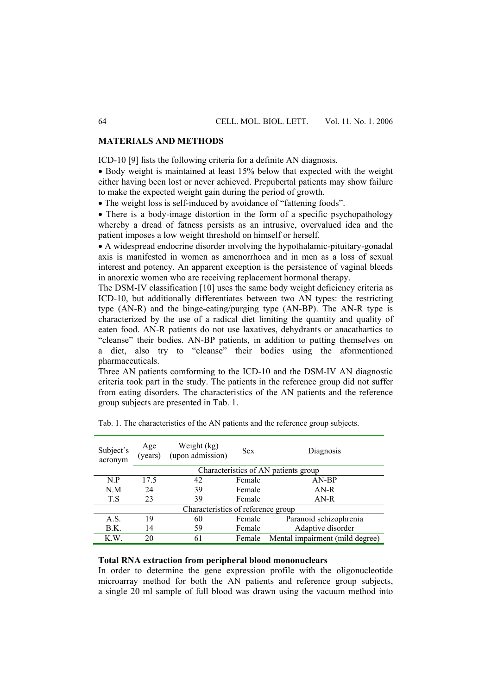## **MATERIALS AND METHODS**

ICD-10 [9] lists the following criteria for a definite AN diagnosis.

• Body weight is maintained at least 15% below that expected with the weight either having been lost or never achieved. Prepubertal patients may show failure to make the expected weight gain during the period of growth.

• The weight loss is self-induced by avoidance of "fattening foods".

• There is a body-image distortion in the form of a specific psychopathology whereby a dread of fatness persists as an intrusive, overvalued idea and the patient imposes a low weight threshold on himself or herself.

• A widespread endocrine disorder involving the hypothalamic-pituitary-gonadal axis is manifested in women as amenorrhoea and in men as a loss of sexual interest and potency. An apparent exception is the persistence of vaginal bleeds in anorexic women who are receiving replacement hormonal therapy.

The DSM-IV classification [10] uses the same body weight deficiency criteria as ICD-10, but additionally differentiates between two AN types: the restricting type (AN-R) and the binge-eating/purging type (AN-BP). The AN-R type is characterized by the use of a radical diet limiting the quantity and quality of eaten food. AN-R patients do not use laxatives, dehydrants or anacathartics to "cleanse" their bodies. AN-BP patients, in addition to putting themselves on a diet, also try to "cleanse" their bodies using the aformentioned pharmaceuticals.

Three AN patients comforming to the ICD-10 and the DSM-IV AN diagnostic criteria took part in the study. The patients in the reference group did not suffer from eating disorders. The characteristics of the AN patients and the reference group subjects are presented in Tab. 1.

| Subject's<br>acronym               | Age<br>(years) | Weight (kg)<br>(upon admission) | <b>Sex</b> | Diagnosis                            |  |  |  |
|------------------------------------|----------------|---------------------------------|------------|--------------------------------------|--|--|--|
|                                    |                |                                 |            | Characteristics of AN patients group |  |  |  |
| N.P                                | 17.5           | 42                              | Female     | AN-BP                                |  |  |  |
| N.M                                | 24             | 39                              | Female     | AN-R                                 |  |  |  |
| T.S                                | 23             | 39                              | Female     | AN-R                                 |  |  |  |
| Characteristics of reference group |                |                                 |            |                                      |  |  |  |
| A.S.                               | 19             | 60                              | Female     | Paranoid schizophrenia               |  |  |  |
| B.K.                               | 14             | 59                              | Female     | Adaptive disorder                    |  |  |  |
| K.W.                               | 20             | 61                              | Female     | Mental impairment (mild degree)      |  |  |  |

Tab. 1. The characteristics of the AN patients and the reference group subjects.

## **Total RNA extraction from peripheral blood mononuclears**

In order to determine the gene expression profile with the oligonucleotide microarray method for both the AN patients and reference group subjects, a single 20 ml sample of full blood was drawn using the vacuum method into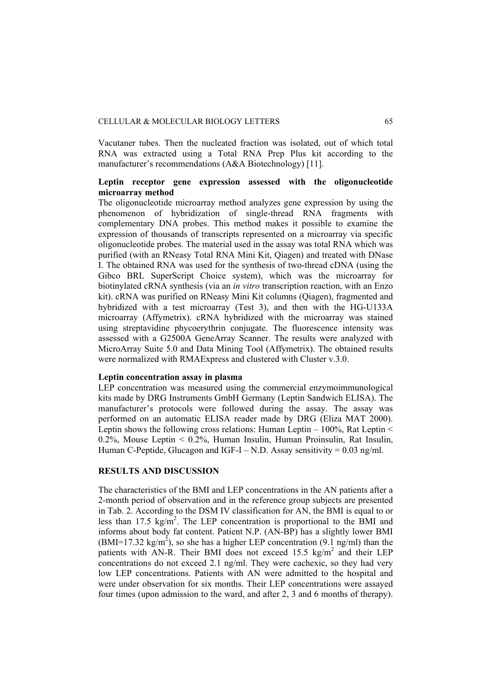#### CELLULAR & MOLECULAR BIOLOGY LETTERS 65

Vacutaner tubes. Then the nucleated fraction was isolated, out of which total RNA was extracted using a Total RNA Prep Plus kit according to the manufacturer's recommendations (A&A Biotechnology) [11].

## **Leptin receptor gene expression assessed with the oligonucleotide microarray method**

The oligonucleotide microarray method analyzes gene expression by using the phenomenon of hybridization of single-thread RNA fragments with complementary DNA probes. This method makes it possible to examine the expression of thousands of transcripts represented on a microarray via specific oligonucleotide probes. The material used in the assay was total RNA which was purified (with an RNeasy Total RNA Mini Kit, Qiagen) and treated with DNase I. The obtained RNA was used for the synthesis of two-thread cDNA (using the Gibco BRL SuperScript Choice system), which was the microarray for biotinylated cRNA synthesis (via an *in vitro* transcription reaction, with an Enzo kit). cRNA was purified on RNeasy Mini Kit columns (Qiagen), fragmented and hybridized with a test microarray (Test 3), and then with the HG-U133A microarray (Affymetrix). cRNA hybridized with the microarray was stained using streptavidine phycoerythrin conjugate. The fluorescence intensity was assessed with a G2500A GeneArray Scanner. The results were analyzed with MicroArray Suite 5.0 and Data Mining Tool (Affymetrix). The obtained results were normalized with RMAExpress and clustered with Cluster v.3.0.

## **Leptin concentration assay in plasma**

LEP concentration was measured using the commercial enzymoimmunological kits made by DRG Instruments GmbH Germany (Leptin Sandwich ELISA). The manufacturer's protocols were followed during the assay. The assay was performed on an automatic ELISA reader made by DRG (Eliza MAT 2000). Leptin shows the following cross relations: Human Leptin –  $100\%$ . Rat Leptin  $\leq$ 0.2%, Mouse Leptin < 0.2%, Human Insulin, Human Proinsulin, Rat Insulin, Human C-Peptide, Glucagon and IGF-I – N.D. Assay sensitivity =  $0.03$  ng/ml.

#### **RESULTS AND DISCUSSION**

The characteristics of the BMI and LEP concentrations in the AN patients after a 2-month period of observation and in the reference group subjects are presented in Tab. 2. According to the DSM IV classification for AN, the BMI is equal to or less than 17.5 kg/m<sup>2</sup>. The LEP concentration is proportional to the BMI and informs about body fat content. Patient N.P. (AN-BP) has a slightly lower BMI  $(BMI=17.32 \text{ kg/m}^2)$ , so she has a higher LEP concentration (9.1 ng/ml) than the patients with AN-R. Their BMI does not exceed  $15.5 \text{ kg/m}^2$  and their LEP concentrations do not exceed 2.1 ng/ml. They were cachexic, so they had very low LEP concentrations. Patients with AN were admitted to the hospital and were under observation for six months. Their LEP concentrations were assayed four times (upon admission to the ward, and after 2, 3 and 6 months of therapy).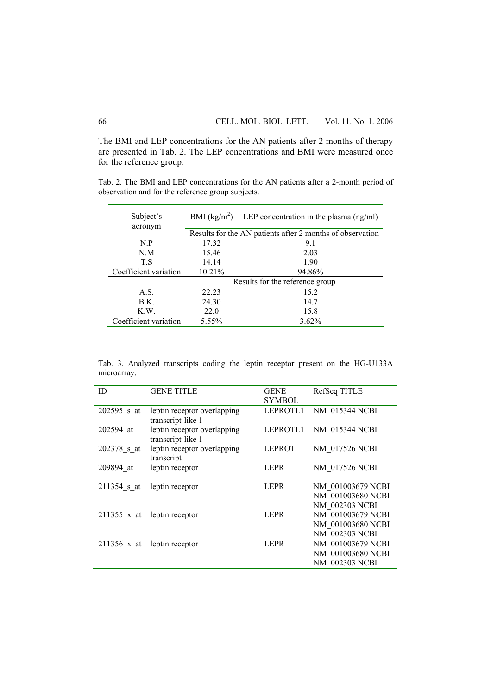The BMI and LEP concentrations for the AN patients after 2 months of therapy are presented in Tab. 2. The LEP concentrations and BMI were measured once for the reference group.

Tab. 2. The BMI and LEP concentrations for the AN patients after a 2-month period of observation and for the reference group subjects.

| Subject's<br>acronym  | BMI $(kg/m^2)$                                            | LEP concentration in the plasma $(ng/ml)$ |  |  |  |
|-----------------------|-----------------------------------------------------------|-------------------------------------------|--|--|--|
|                       | Results for the AN patients after 2 months of observation |                                           |  |  |  |
| N.P                   | 17.32                                                     | 9.1                                       |  |  |  |
| N.M                   | 15.46                                                     | 2.03                                      |  |  |  |
| T S                   | 14.14                                                     | 1.90                                      |  |  |  |
| Coefficient variation | 10.21%                                                    | 94.86%                                    |  |  |  |
|                       |                                                           | Results for the reference group           |  |  |  |
| A.S.                  | 22.23                                                     | 152                                       |  |  |  |
| B.K.                  | 24.30                                                     | 14.7                                      |  |  |  |
| K.W.                  | 22.0                                                      | 15.8                                      |  |  |  |
| Coefficient variation | 5.55%                                                     | 3.62%                                     |  |  |  |

Tab. 3. Analyzed transcripts coding the leptin receptor present on the HG-U133A microarray.

| ID                 | <b>GENE TITLE</b>             | <b>GENE</b>   | RefSeq TITLE      |
|--------------------|-------------------------------|---------------|-------------------|
|                    |                               | SYMBOL        |                   |
| 202595 s at        | leptin receptor overlapping   | LEPROTL1      | NM 015344 NCBI    |
|                    | transcript-like 1             |               |                   |
| 202594 at          | leptin receptor overlapping   | LEPROTL1      | NM 015344 NCBI    |
|                    | transcript-like 1             |               |                   |
| 202378 s at        | leptin receptor overlapping   | <b>LEPROT</b> | NM 017526 NCBI    |
|                    | transcript                    |               |                   |
| 209894 at          | leptin receptor               | <b>LEPR</b>   | NM 017526 NCBI    |
|                    |                               |               |                   |
| 211354 s at        | leptin receptor               | <b>LEPR</b>   | NM 001003679 NCBI |
|                    |                               |               | NM 001003680 NCBI |
|                    |                               |               | NM 002303 NCBI    |
|                    | $211355$ x at leptin receptor | <b>LEPR</b>   | NM 001003679 NCBI |
|                    |                               |               | NM 001003680 NCBI |
|                    |                               |               | NM 002303 NCBI    |
| $211356 \times at$ | leptin receptor               | <b>LEPR</b>   | NM 001003679 NCBI |
|                    |                               |               | NM 001003680 NCBI |
|                    |                               |               | NM 002303 NCBI    |
|                    |                               |               |                   |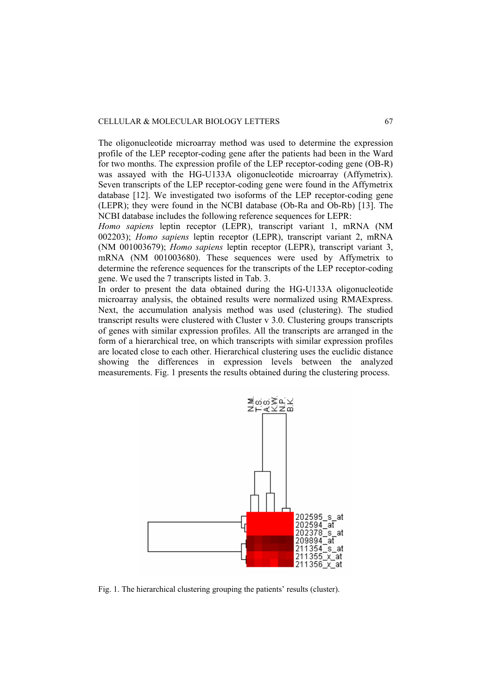#### CELLULAR & MOLECULAR BIOLOGY LETTERS 67

The oligonucleotide microarray method was used to determine the expression profile of the LEP receptor-coding gene after the patients had been in the Ward for two months. The expression profile of the LEP receptor-coding gene (OB-R) was assayed with the HG-U133A oligonucleotide microarray (Affymetrix). Seven transcripts of the LEP receptor-coding gene were found in the Affymetrix database [12]. We investigated two isoforms of the LEP receptor-coding gene (LEPR); they were found in the NCBI database (Ob-Ra and Ob-Rb) [13]. The NCBI database includes the following reference sequences for LEPR:

*Homo sapiens* leptin receptor (LEPR), transcript variant 1, mRNA (NM 002203); *Homo sapiens* leptin receptor (LEPR), transcript variant 2, mRNA (NM 001003679); *Homo sapiens* leptin receptor (LEPR), transcript variant 3, mRNA (NM 001003680). These sequences were used by Affymetrix to determine the reference sequences for the transcripts of the LEP receptor-coding gene. We used the 7 transcripts listed in Tab. 3.

In order to present the data obtained during the HG-U133A oligonucleotide microarray analysis, the obtained results were normalized using RMAExpress. Next, the accumulation analysis method was used (clustering). The studied transcript results were clustered with Cluster v 3.0. Clustering groups transcripts of genes with similar expression profiles. All the transcripts are arranged in the form of a hierarchical tree, on which transcripts with similar expression profiles are located close to each other. Hierarchical clustering uses the euclidic distance showing the differences in expression levels between the analyzed measurements. Fig. 1 presents the results obtained during the clustering process.



Fig. 1. The hierarchical clustering grouping the patients' results (cluster).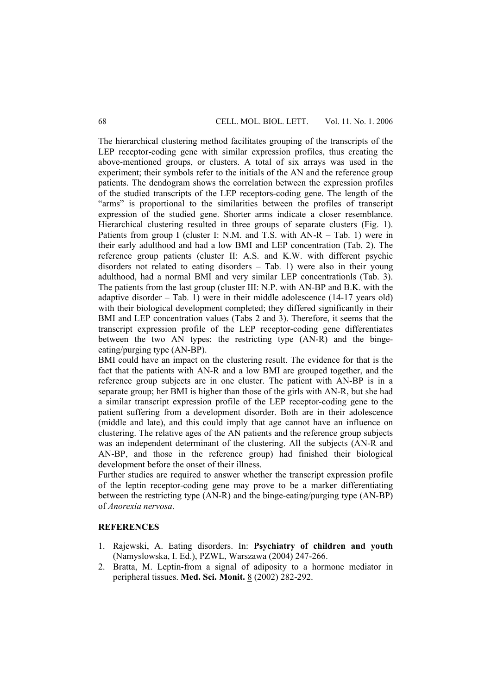The hierarchical clustering method facilitates grouping of the transcripts of the LEP receptor-coding gene with similar expression profiles, thus creating the above-mentioned groups, or clusters. A total of six arrays was used in the experiment; their symbols refer to the initials of the AN and the reference group patients. The dendogram shows the correlation between the expression profiles of the studied transcripts of the LEP receptors-coding gene. The length of the "arms" is proportional to the similarities between the profiles of transcript expression of the studied gene. Shorter arms indicate a closer resemblance. Hierarchical clustering resulted in three groups of separate clusters (Fig. 1). Patients from group I (cluster I: N.M. and T.S. with AN-R – Tab. 1) were in their early adulthood and had a low BMI and LEP concentration (Tab. 2). The reference group patients (cluster II: A.S. and K.W. with different psychic disorders not related to eating disorders – Tab. 1) were also in their young adulthood, had a normal BMI and very similar LEP concentrationls (Tab. 3). The patients from the last group (cluster III: N.P. with AN-BP and B.K. with the adaptive disorder – Tab. 1) were in their middle adolescence  $(14-17 \text{ years old})$ with their biological development completed; they differed significantly in their BMI and LEP concentration values (Tabs 2 and 3). Therefore, it seems that the transcript expression profile of the LEP receptor-coding gene differentiates between the two AN types: the restricting type (AN-R) and the bingeeating/purging type (AN-BP).

BMI could have an impact on the clustering result. The evidence for that is the fact that the patients with AN-R and a low BMI are grouped together, and the reference group subjects are in one cluster. The patient with AN-BP is in a separate group; her BMI is higher than those of the girls with AN-R, but she had a similar transcript expression profile of the LEP receptor-coding gene to the patient suffering from a development disorder. Both are in their adolescence (middle and late), and this could imply that age cannot have an influence on clustering. The relative ages of the AN patients and the reference group subjects was an independent determinant of the clustering. All the subjects (AN-R and AN-BP, and those in the reference group) had finished their biological development before the onset of their illness.

Further studies are required to answer whether the transcript expression profile of the leptin receptor-coding gene may prove to be a marker differentiating between the restricting type (AN-R) and the binge-eating/purging type (AN-BP) of *Anorexia nervosa*.

#### **REFERENCES**

- 1. Rajewski, A. Eating disorders. In: **Psychiatry of children and youth**  (Namyslowska, I. Ed.), PZWL, Warszawa (2004) 247-266.
- 2. Bratta, M. Leptin-from a signal of adiposity to a hormone mediator in peripheral tissues. **Med. Sci. Monit.** 8 (2002) 282-292.